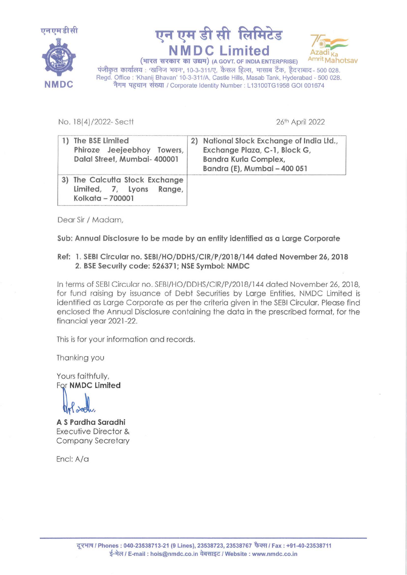





पंजीकृत कार्यालय : 'खनिज भवन', 10-3-311/ए, कैसल हिल्स, मासाब टैंक, हैदराबाद - 500 028.<br>Regd. Office : 'Khanij Bhavan' 10-3-311/A, Castle Hills, Masab Tank, Hyderabad - 500 028. Regd. Office: 'Khanij Bhavan' 10-3-311/A, Castle Hills, Masab Tank, Hyderabad - 500 028.<br> **NMDC** नेगम पहचान संख्या / Corporate Identity Number: L13100TG1958 GOI 001674

No. 18(4)/2022-Sectt 2022

| The BSE Limited<br>Phiroze Jeejeebhoy Towers,<br>Dalal Street, Mumbai- 400001     | National Stock Exchange of India Ltd.,<br>2)<br>Exchange Plaza, C-1, Block G,<br>Bandra Kurla Complex,<br>Bandra (E), Mumbai - 400 051 |
|-----------------------------------------------------------------------------------|----------------------------------------------------------------------------------------------------------------------------------------|
| 3) The Calcutta Stock Exchange<br>Limited, 7, Lyons<br>Range,<br>Kolkata - 700001 |                                                                                                                                        |

Dear Sir / Madam,

Sub: Annual Disclosure to be made by an entity identified as a Large Corporate

## Ref: 1. SEBI Circular no. SEBl/HO/DDHS/CIR/P /2018/144 dated November 26, 2018 2. BSE Security code: 526371; NSE Symbol: NMDC

In terms of SEBI Circular no. SEBl/HO/DDHS/CIR/P/2018/144 dated November 26, 2018, for fund raising by issuance of Debt Securities by Large Entities, NMDC Limited is identified as Large Corporate as per the criteria given in the SEBI Circular. Please find enclosed the Annual Disclosure containing the data in the prescribed format, for the financial year 2021-22.

This is for your information and records.

Thanking you

Yours faithfully, For NMDC Limited

 $\partial$ eg

A S Pardha Saradhi Executive Director & Company Secretary

Encl: A/a